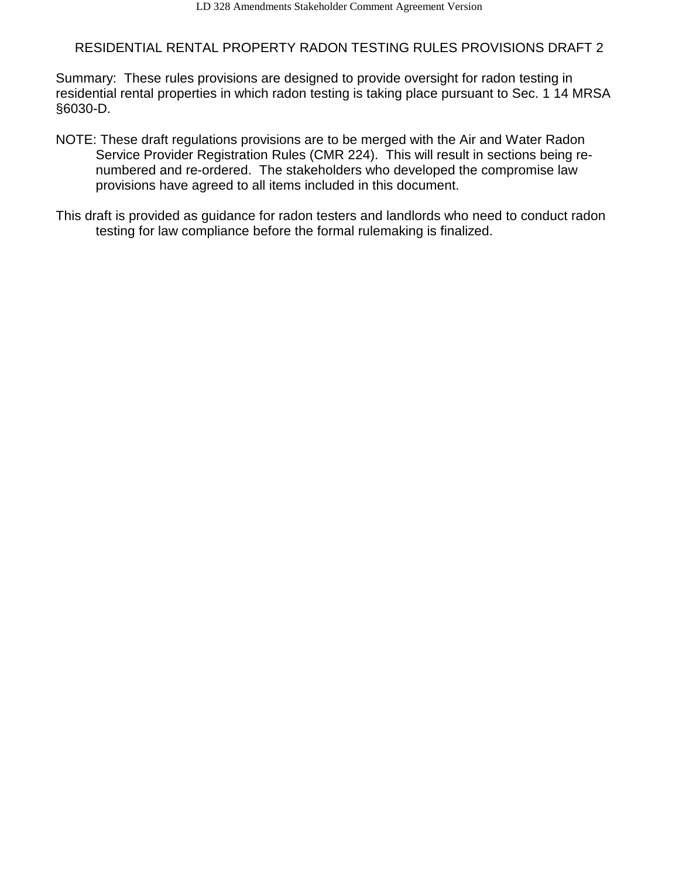# RESIDENTIAL RENTAL PROPERTY RADON TESTING RULES PROVISIONS DRAFT 2

Summary: These rules provisions are designed to provide oversight for radon testing in residential rental properties in which radon testing is taking place pursuant to Sec. 1 14 MRSA §6030-D.

- NOTE: These draft regulations provisions are to be merged with the Air and Water Radon Service Provider Registration Rules (CMR 224). This will result in sections being renumbered and re-ordered. The stakeholders who developed the compromise law provisions have agreed to all items included in this document.
- This draft is provided as guidance for radon testers and landlords who need to conduct radon testing for law compliance before the formal rulemaking is finalized.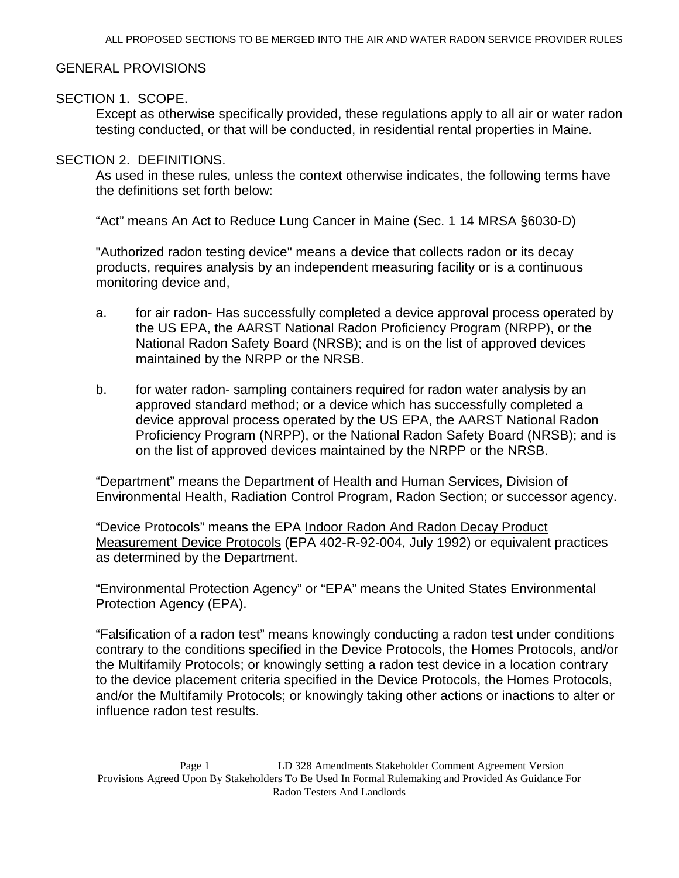# GENERAL PROVISIONS

# SECTION 1. SCOPE.

Except as otherwise specifically provided, these regulations apply to all air or water radon testing conducted, or that will be conducted, in residential rental properties in Maine.

# SECTION 2. DEFINITIONS.

As used in these rules, unless the context otherwise indicates, the following terms have the definitions set forth below:

"Act" means An Act to Reduce Lung Cancer in Maine (Sec. 1 14 MRSA §6030-D)

"Authorized radon testing device" means a device that collects radon or its decay products, requires analysis by an independent measuring facility or is a continuous monitoring device and,

- a. for air radon- Has successfully completed a device approval process operated by the US EPA, the AARST National Radon Proficiency Program (NRPP), or the National Radon Safety Board (NRSB); and is on the list of approved devices maintained by the NRPP or the NRSB.
- b. for water radon- sampling containers required for radon water analysis by an approved standard method; or a device which has successfully completed a device approval process operated by the US EPA, the AARST National Radon Proficiency Program (NRPP), or the National Radon Safety Board (NRSB); and is on the list of approved devices maintained by the NRPP or the NRSB.

"Department" means the Department of Health and Human Services, Division of Environmental Health, Radiation Control Program, Radon Section; or successor agency.

"Device Protocols" means the EPA Indoor Radon And Radon Decay Product Measurement Device Protocols (EPA 402-R-92-004, July 1992) or equivalent practices as determined by the Department.

"Environmental Protection Agency" or "EPA" means the United States Environmental Protection Agency (EPA).

"Falsification of a radon test" means knowingly conducting a radon test under conditions contrary to the conditions specified in the Device Protocols, the Homes Protocols, and/or the Multifamily Protocols; or knowingly setting a radon test device in a location contrary to the device placement criteria specified in the Device Protocols, the Homes Protocols, and/or the Multifamily Protocols; or knowingly taking other actions or inactions to alter or influence radon test results.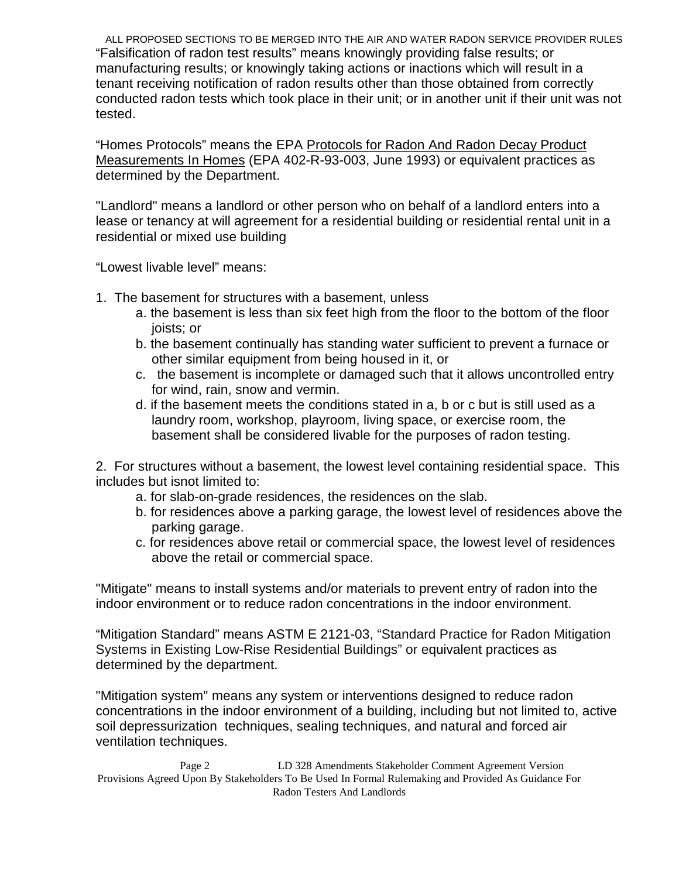ALL PROPOSED SECTIONS TO BE MERGED INTO THE AIR AND WATER RADON SERVICE PROVIDER RULES "Falsification of radon test results" means knowingly providing false results; or manufacturing results; or knowingly taking actions or inactions which will result in a tenant receiving notification of radon results other than those obtained from correctly conducted radon tests which took place in their unit; or in another unit if their unit was not tested.

"Homes Protocols" means the EPA Protocols for Radon And Radon Decay Product Measurements In Homes (EPA 402-R-93-003, June 1993) or equivalent practices as determined by the Department.

"Landlord" means a landlord or other person who on behalf of a landlord enters into a lease or tenancy at will agreement for a residential building or residential rental unit in a residential or mixed use building

"Lowest livable level" means:

- 1. The basement for structures with a basement, unless
	- a. the basement is less than six feet high from the floor to the bottom of the floor joists; or
	- b. the basement continually has standing water sufficient to prevent a furnace or other similar equipment from being housed in it, or
	- c. the basement is incomplete or damaged such that it allows uncontrolled entry for wind, rain, snow and vermin.
	- d. if the basement meets the conditions stated in a, b or c but is still used as a laundry room, workshop, playroom, living space, or exercise room, the basement shall be considered livable for the purposes of radon testing.

2. For structures without a basement, the lowest level containing residential space. This includes but isnot limited to:

- a. for slab-on-grade residences, the residences on the slab.
- b. for residences above a parking garage, the lowest level of residences above the parking garage.
- c. for residences above retail or commercial space, the lowest level of residences above the retail or commercial space.

"Mitigate" means to install systems and/or materials to prevent entry of radon into the indoor environment or to reduce radon concentrations in the indoor environment.

"Mitigation Standard" means ASTM E 2121-03, "Standard Practice for Radon Mitigation Systems in Existing Low-Rise Residential Buildings" or equivalent practices as determined by the department.

"Mitigation system" means any system or interventions designed to reduce radon concentrations in the indoor environment of a building, including but not limited to, active soil depressurization techniques, sealing techniques, and natural and forced air ventilation techniques.

Page 2 LD 328 Amendments Stakeholder Comment Agreement Version Provisions Agreed Upon By Stakeholders To Be Used In Formal Rulemaking and Provided As Guidance For Radon Testers And Landlords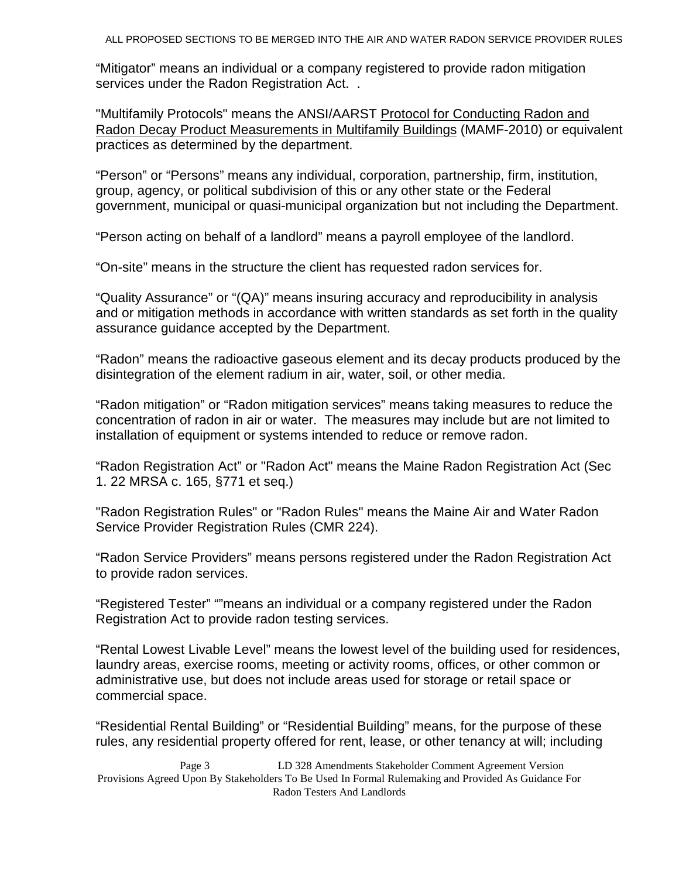"Mitigator" means an individual or a company registered to provide radon mitigation services under the Radon Registration Act. .

"Multifamily Protocols" means the ANSI/AARST Protocol for Conducting Radon and Radon Decay Product Measurements in Multifamily Buildings (MAMF-2010) or equivalent practices as determined by the department.

"Person" or "Persons" means any individual, corporation, partnership, firm, institution, group, agency, or political subdivision of this or any other state or the Federal government, municipal or quasi-municipal organization but not including the Department.

"Person acting on behalf of a landlord" means a payroll employee of the landlord.

"On-site" means in the structure the client has requested radon services for.

"Quality Assurance" or "(QA)" means insuring accuracy and reproducibility in analysis and or mitigation methods in accordance with written standards as set forth in the quality assurance guidance accepted by the Department.

"Radon" means the radioactive gaseous element and its decay products produced by the disintegration of the element radium in air, water, soil, or other media.

"Radon mitigation" or "Radon mitigation services" means taking measures to reduce the concentration of radon in air or water. The measures may include but are not limited to installation of equipment or systems intended to reduce or remove radon.

"Radon Registration Act" or "Radon Act" means the Maine Radon Registration Act (Sec 1. 22 MRSA c. 165, §771 et seq.)

"Radon Registration Rules" or "Radon Rules" means the Maine Air and Water Radon Service Provider Registration Rules (CMR 224).

"Radon Service Providers" means persons registered under the Radon Registration Act to provide radon services.

"Registered Tester" ""means an individual or a company registered under the Radon Registration Act to provide radon testing services.

"Rental Lowest Livable Level" means the lowest level of the building used for residences, laundry areas, exercise rooms, meeting or activity rooms, offices, or other common or administrative use, but does not include areas used for storage or retail space or commercial space.

"Residential Rental Building" or "Residential Building" means, for the purpose of these rules, any residential property offered for rent, lease, or other tenancy at will; including

Page 3 LD 328 Amendments Stakeholder Comment Agreement Version Provisions Agreed Upon By Stakeholders To Be Used In Formal Rulemaking and Provided As Guidance For Radon Testers And Landlords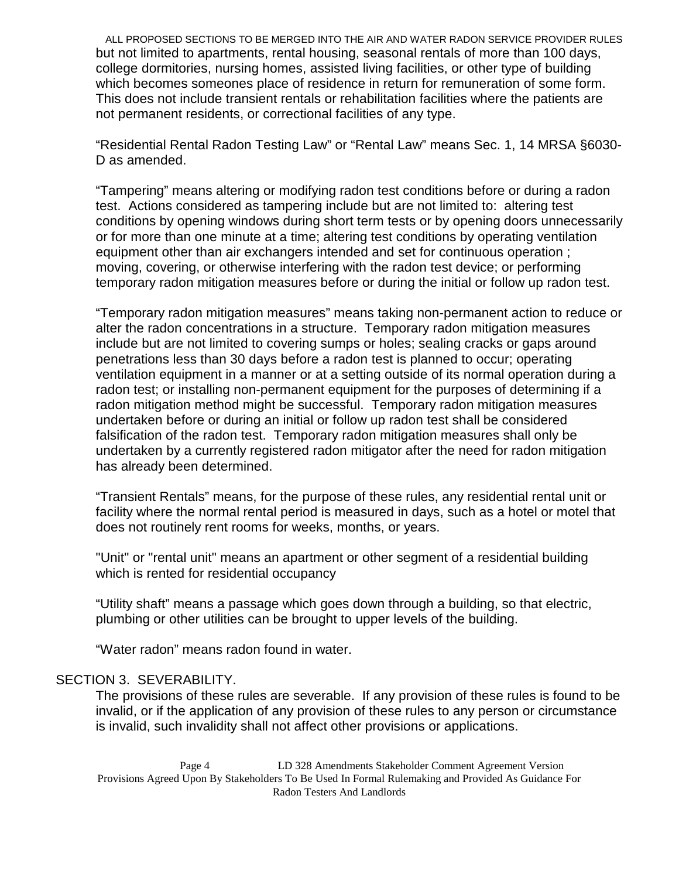ALL PROPOSED SECTIONS TO BE MERGED INTO THE AIR AND WATER RADON SERVICE PROVIDER RULES but not limited to apartments, rental housing, seasonal rentals of more than 100 days, college dormitories, nursing homes, assisted living facilities, or other type of building which becomes someones place of residence in return for remuneration of some form. This does not include transient rentals or rehabilitation facilities where the patients are not permanent residents, or correctional facilities of any type.

"Residential Rental Radon Testing Law" or "Rental Law" means Sec. 1, 14 MRSA §6030- D as amended.

"Tampering" means altering or modifying radon test conditions before or during a radon test. Actions considered as tampering include but are not limited to: altering test conditions by opening windows during short term tests or by opening doors unnecessarily or for more than one minute at a time; altering test conditions by operating ventilation equipment other than air exchangers intended and set for continuous operation ; moving, covering, or otherwise interfering with the radon test device; or performing temporary radon mitigation measures before or during the initial or follow up radon test.

"Temporary radon mitigation measures" means taking non-permanent action to reduce or alter the radon concentrations in a structure. Temporary radon mitigation measures include but are not limited to covering sumps or holes; sealing cracks or gaps around penetrations less than 30 days before a radon test is planned to occur; operating ventilation equipment in a manner or at a setting outside of its normal operation during a radon test; or installing non-permanent equipment for the purposes of determining if a radon mitigation method might be successful. Temporary radon mitigation measures undertaken before or during an initial or follow up radon test shall be considered falsification of the radon test. Temporary radon mitigation measures shall only be undertaken by a currently registered radon mitigator after the need for radon mitigation has already been determined.

"Transient Rentals" means, for the purpose of these rules, any residential rental unit or facility where the normal rental period is measured in days, such as a hotel or motel that does not routinely rent rooms for weeks, months, or years.

"Unit" or "rental unit" means an apartment or other segment of a residential building which is rented for residential occupancy

"Utility shaft" means a passage which goes down through a building, so that electric, plumbing or other utilities can be brought to upper levels of the building.

"Water radon" means radon found in water.

#### SECTION 3. SEVERABILITY.

The provisions of these rules are severable. If any provision of these rules is found to be invalid, or if the application of any provision of these rules to any person or circumstance is invalid, such invalidity shall not affect other provisions or applications.

Page 4 LD 328 Amendments Stakeholder Comment Agreement Version Provisions Agreed Upon By Stakeholders To Be Used In Formal Rulemaking and Provided As Guidance For Radon Testers And Landlords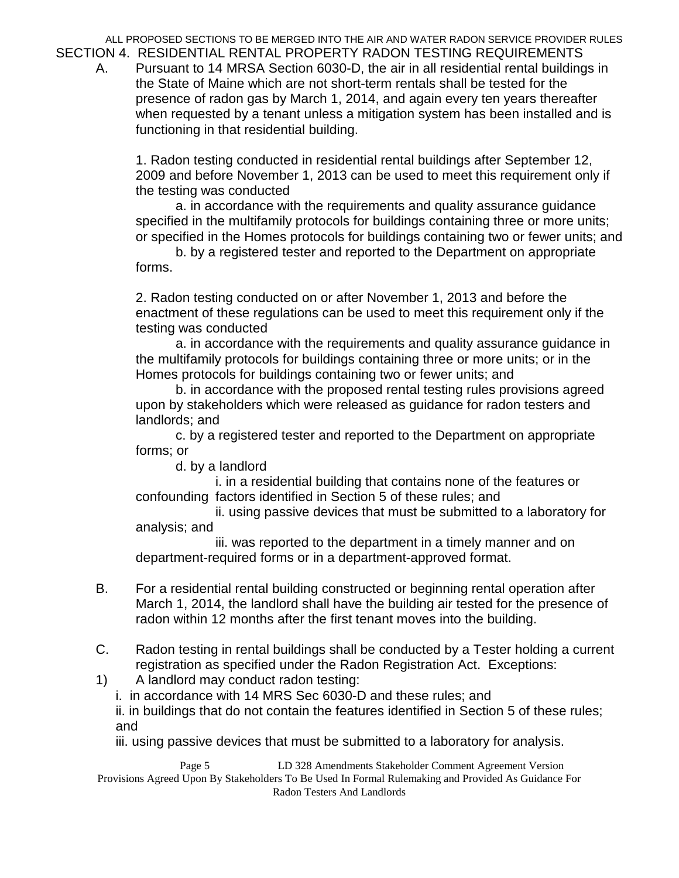ALL PROPOSED SECTIONS TO BE MERGED INTO THE AIR AND WATER RADON SERVICE PROVIDER RULES SECTION 4. RESIDENTIAL RENTAL PROPERTY RADON TESTING REQUIREMENTS

A. Pursuant to 14 MRSA Section 6030-D, the air in all residential rental buildings in the State of Maine which are not short-term rentals shall be tested for the presence of radon gas by March 1, 2014, and again every ten years thereafter when requested by a tenant unless a mitigation system has been installed and is functioning in that residential building.

1. Radon testing conducted in residential rental buildings after September 12, 2009 and before November 1, 2013 can be used to meet this requirement only if the testing was conducted

a. in accordance with the requirements and quality assurance guidance specified in the multifamily protocols for buildings containing three or more units; or specified in the Homes protocols for buildings containing two or fewer units; and

b. by a registered tester and reported to the Department on appropriate forms.

2. Radon testing conducted on or after November 1, 2013 and before the enactment of these regulations can be used to meet this requirement only if the testing was conducted

a. in accordance with the requirements and quality assurance guidance in the multifamily protocols for buildings containing three or more units; or in the Homes protocols for buildings containing two or fewer units; and

b. in accordance with the proposed rental testing rules provisions agreed upon by stakeholders which were released as guidance for radon testers and landlords; and

c. by a registered tester and reported to the Department on appropriate forms; or

d. by a landlord

i. in a residential building that contains none of the features or confounding factors identified in Section 5 of these rules; and

ii. using passive devices that must be submitted to a laboratory for analysis; and

iii. was reported to the department in a timely manner and on department-required forms or in a department-approved format.

- B. For a residential rental building constructed or beginning rental operation after March 1, 2014, the landlord shall have the building air tested for the presence of radon within 12 months after the first tenant moves into the building.
- C. Radon testing in rental buildings shall be conducted by a Tester holding a current registration as specified under the Radon Registration Act. Exceptions:
- 1) A landlord may conduct radon testing:

i. in accordance with 14 MRS Sec 6030-D and these rules; and

ii. in buildings that do not contain the features identified in Section 5 of these rules; and

iii. using passive devices that must be submitted to a laboratory for analysis.

Page 5 LD 328 Amendments Stakeholder Comment Agreement Version Provisions Agreed Upon By Stakeholders To Be Used In Formal Rulemaking and Provided As Guidance For Radon Testers And Landlords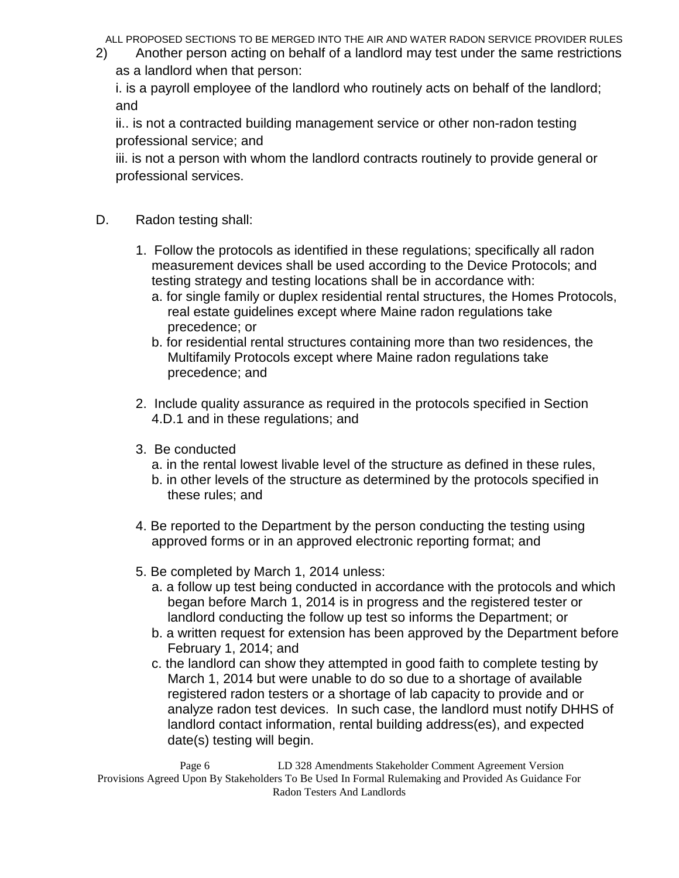2) Another person acting on behalf of a landlord may test under the same restrictions as a landlord when that person:

i. is a payroll employee of the landlord who routinely acts on behalf of the landlord; and

ii.. is not a contracted building management service or other non-radon testing professional service; and

iii. is not a person with whom the landlord contracts routinely to provide general or professional services.

- D. Radon testing shall:
	- 1. Follow the protocols as identified in these regulations; specifically all radon measurement devices shall be used according to the Device Protocols; and testing strategy and testing locations shall be in accordance with:
		- a. for single family or duplex residential rental structures, the Homes Protocols, real estate guidelines except where Maine radon regulations take precedence; or
		- b. for residential rental structures containing more than two residences, the Multifamily Protocols except where Maine radon regulations take precedence; and
	- 2. Include quality assurance as required in the protocols specified in Section 4.D.1 and in these regulations; and
	- 3. Be conducted
		- a. in the rental lowest livable level of the structure as defined in these rules,
		- b. in other levels of the structure as determined by the protocols specified in these rules; and
	- 4. Be reported to the Department by the person conducting the testing using approved forms or in an approved electronic reporting format; and
	- 5. Be completed by March 1, 2014 unless:
		- a. a follow up test being conducted in accordance with the protocols and which began before March 1, 2014 is in progress and the registered tester or landlord conducting the follow up test so informs the Department; or
		- b. a written request for extension has been approved by the Department before February 1, 2014; and
		- c. the landlord can show they attempted in good faith to complete testing by March 1, 2014 but were unable to do so due to a shortage of available registered radon testers or a shortage of lab capacity to provide and or analyze radon test devices. In such case, the landlord must notify DHHS of landlord contact information, rental building address(es), and expected date(s) testing will begin.

Page 6 LD 328 Amendments Stakeholder Comment Agreement Version Provisions Agreed Upon By Stakeholders To Be Used In Formal Rulemaking and Provided As Guidance For Radon Testers And Landlords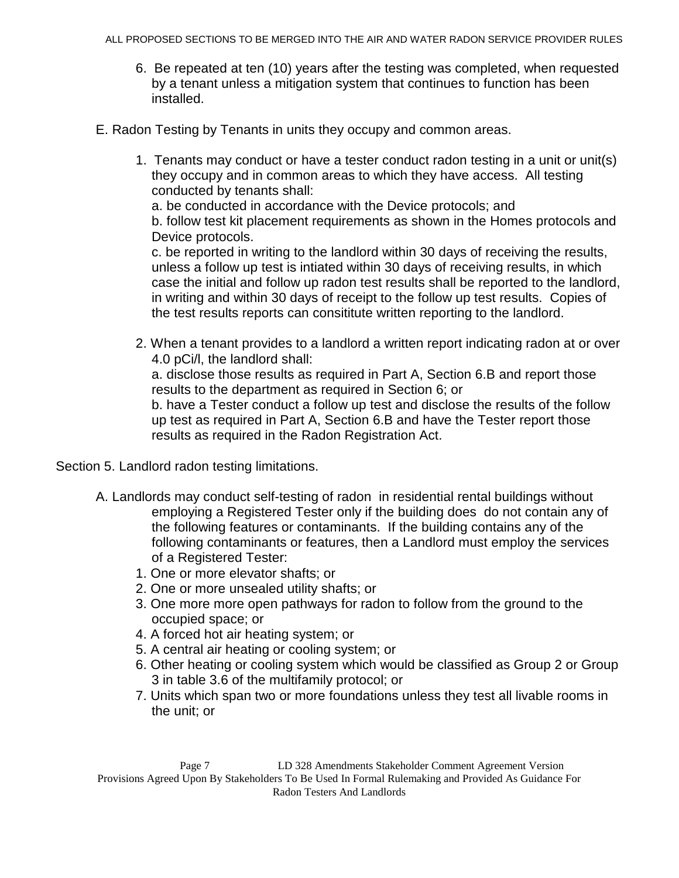- 6. Be repeated at ten (10) years after the testing was completed, when requested by a tenant unless a mitigation system that continues to function has been installed.
- E. Radon Testing by Tenants in units they occupy and common areas.
	- 1. Tenants may conduct or have a tester conduct radon testing in a unit or unit(s) they occupy and in common areas to which they have access. All testing conducted by tenants shall:

a. be conducted in accordance with the Device protocols; and

b. follow test kit placement requirements as shown in the Homes protocols and Device protocols.

c. be reported in writing to the landlord within 30 days of receiving the results, unless a follow up test is intiated within 30 days of receiving results, in which case the initial and follow up radon test results shall be reported to the landlord, in writing and within 30 days of receipt to the follow up test results. Copies of the test results reports can consititute written reporting to the landlord.

2. When a tenant provides to a landlord a written report indicating radon at or over 4.0 pCi/l, the landlord shall:

a. disclose those results as required in Part A, Section 6.B and report those results to the department as required in Section 6; or

b. have a Tester conduct a follow up test and disclose the results of the follow up test as required in Part A, Section 6.B and have the Tester report those results as required in the Radon Registration Act.

Section 5. Landlord radon testing limitations.

- A. Landlords may conduct self-testing of radon in residential rental buildings without employing a Registered Tester only if the building does do not contain any of the following features or contaminants. If the building contains any of the following contaminants or features, then a Landlord must employ the services of a Registered Tester:
	- 1. One or more elevator shafts; or
	- 2. One or more unsealed utility shafts; or
	- 3. One more more open pathways for radon to follow from the ground to the occupied space; or
	- 4. A forced hot air heating system; or
	- 5. A central air heating or cooling system; or
	- 6. Other heating or cooling system which would be classified as Group 2 or Group 3 in table 3.6 of the multifamily protocol; or
	- 7. Units which span two or more foundations unless they test all livable rooms in the unit; or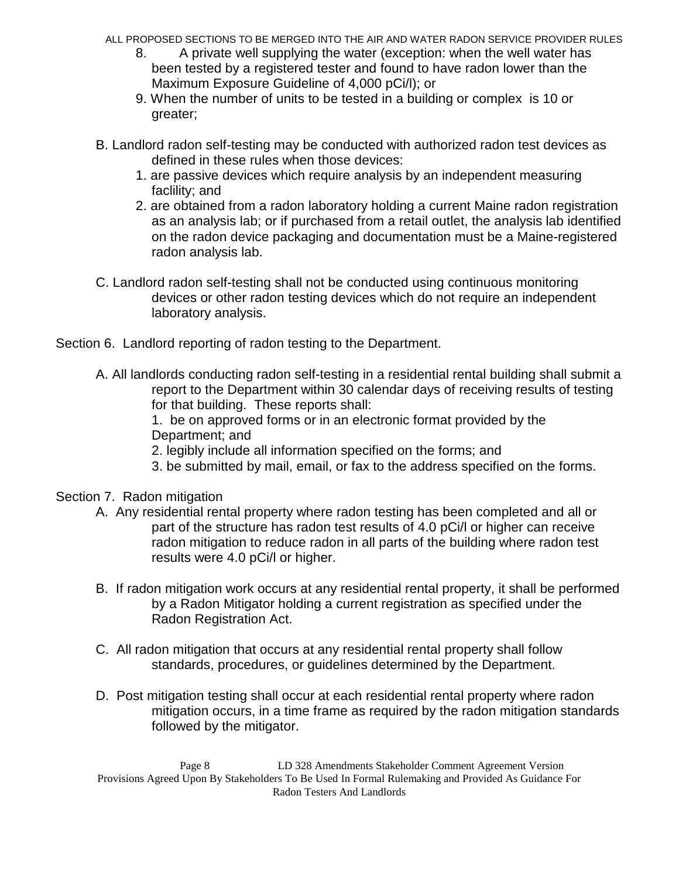- ALL PROPOSED SECTIONS TO BE MERGED INTO THE AIR AND WATER RADON SERVICE PROVIDER RULES
	- 8. A private well supplying the water (exception: when the well water has been tested by a registered tester and found to have radon lower than the Maximum Exposure Guideline of 4,000 pCi/l); or
	- 9. When the number of units to be tested in a building or complex is 10 or greater;
- B. Landlord radon self-testing may be conducted with authorized radon test devices as defined in these rules when those devices:
	- 1. are passive devices which require analysis by an independent measuring faclility; and
	- 2. are obtained from a radon laboratory holding a current Maine radon registration as an analysis lab; or if purchased from a retail outlet, the analysis lab identified on the radon device packaging and documentation must be a Maine-registered radon analysis lab.
- C. Landlord radon self-testing shall not be conducted using continuous monitoring devices or other radon testing devices which do not require an independent laboratory analysis.

Section 6. Landlord reporting of radon testing to the Department.

A. All landlords conducting radon self-testing in a residential rental building shall submit a report to the Department within 30 calendar days of receiving results of testing for that building. These reports shall:

1. be on approved forms or in an electronic format provided by the Department; and

- 2. legibly include all information specified on the forms; and
- 3. be submitted by mail, email, or fax to the address specified on the forms.

Section 7. Radon mitigation

- A. Any residential rental property where radon testing has been completed and all or part of the structure has radon test results of 4.0 pCi/l or higher can receive radon mitigation to reduce radon in all parts of the building where radon test results were 4.0 pCi/l or higher.
- B. If radon mitigation work occurs at any residential rental property, it shall be performed by a Radon Mitigator holding a current registration as specified under the Radon Registration Act.
- C. All radon mitigation that occurs at any residential rental property shall follow standards, procedures, or guidelines determined by the Department.
- D. Post mitigation testing shall occur at each residential rental property where radon mitigation occurs, in a time frame as required by the radon mitigation standards followed by the mitigator.

Page 8 LD 328 Amendments Stakeholder Comment Agreement Version Provisions Agreed Upon By Stakeholders To Be Used In Formal Rulemaking and Provided As Guidance For Radon Testers And Landlords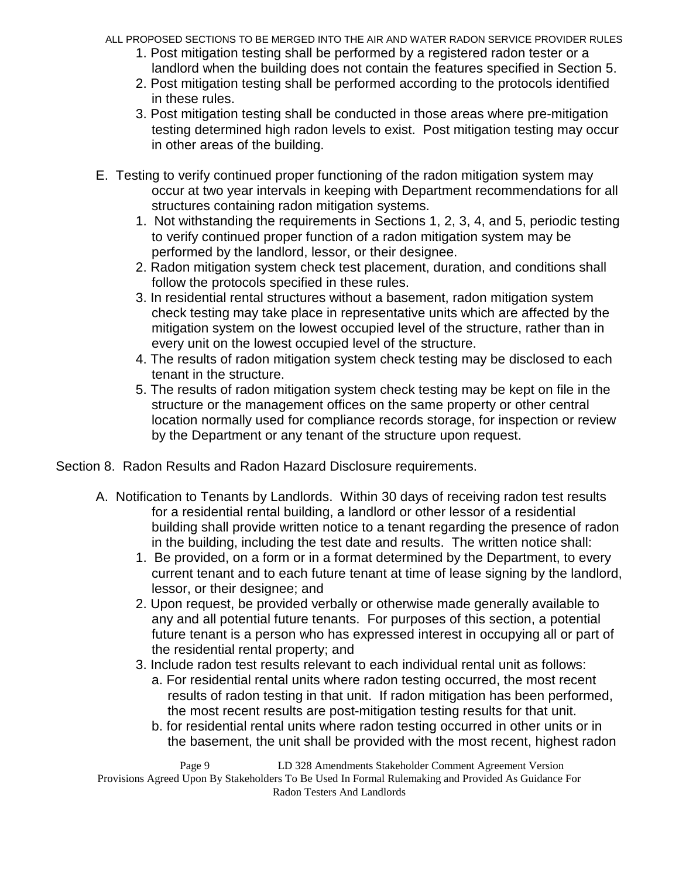- ALL PROPOSED SECTIONS TO BE MERGED INTO THE AIR AND WATER RADON SERVICE PROVIDER RULES
	- 1. Post mitigation testing shall be performed by a registered radon tester or a landlord when the building does not contain the features specified in Section 5.
	- 2. Post mitigation testing shall be performed according to the protocols identified in these rules.
	- 3. Post mitigation testing shall be conducted in those areas where pre-mitigation testing determined high radon levels to exist. Post mitigation testing may occur in other areas of the building.
- E. Testing to verify continued proper functioning of the radon mitigation system may occur at two year intervals in keeping with Department recommendations for all structures containing radon mitigation systems.
	- 1. Not withstanding the requirements in Sections 1, 2, 3, 4, and 5, periodic testing to verify continued proper function of a radon mitigation system may be performed by the landlord, lessor, or their designee.
	- 2. Radon mitigation system check test placement, duration, and conditions shall follow the protocols specified in these rules.
	- 3. In residential rental structures without a basement, radon mitigation system check testing may take place in representative units which are affected by the mitigation system on the lowest occupied level of the structure, rather than in every unit on the lowest occupied level of the structure.
	- 4. The results of radon mitigation system check testing may be disclosed to each tenant in the structure.
	- 5. The results of radon mitigation system check testing may be kept on file in the structure or the management offices on the same property or other central location normally used for compliance records storage, for inspection or review by the Department or any tenant of the structure upon request.

Section 8. Radon Results and Radon Hazard Disclosure requirements.

- A. Notification to Tenants by Landlords. Within 30 days of receiving radon test results for a residential rental building, a landlord or other lessor of a residential building shall provide written notice to a tenant regarding the presence of radon in the building, including the test date and results. The written notice shall:
	- 1. Be provided, on a form or in a format determined by the Department, to every current tenant and to each future tenant at time of lease signing by the landlord, lessor, or their designee; and
	- 2. Upon request, be provided verbally or otherwise made generally available to any and all potential future tenants. For purposes of this section, a potential future tenant is a person who has expressed interest in occupying all or part of the residential rental property; and
	- 3. Include radon test results relevant to each individual rental unit as follows:
		- a. For residential rental units where radon testing occurred, the most recent results of radon testing in that unit. If radon mitigation has been performed, the most recent results are post-mitigation testing results for that unit.
		- b. for residential rental units where radon testing occurred in other units or in the basement, the unit shall be provided with the most recent, highest radon

Page 9 LD 328 Amendments Stakeholder Comment Agreement Version Provisions Agreed Upon By Stakeholders To Be Used In Formal Rulemaking and Provided As Guidance For Radon Testers And Landlords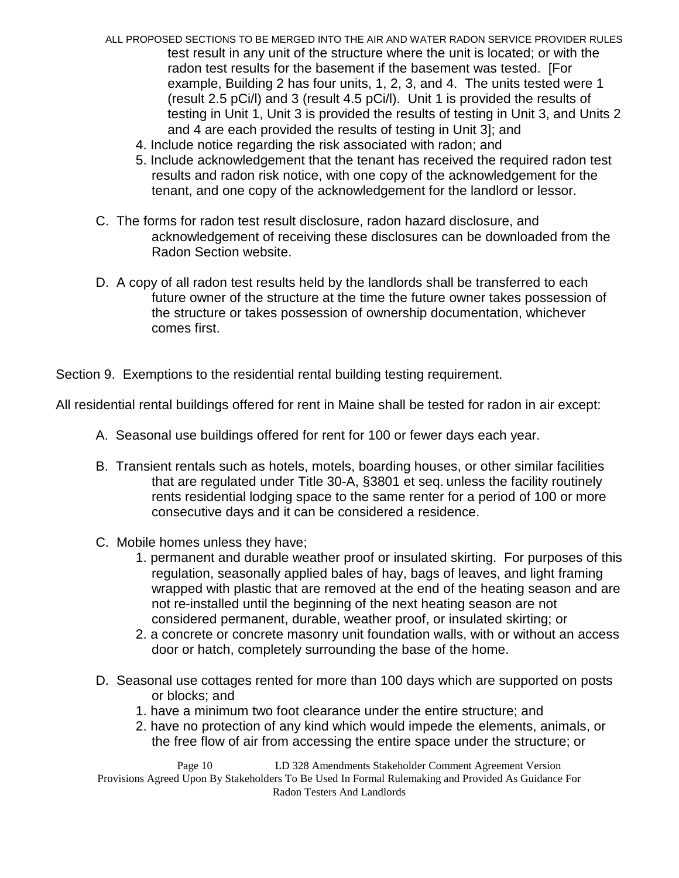- ALL PROPOSED SECTIONS TO BE MERGED INTO THE AIR AND WATER RADON SERVICE PROVIDER RULES test result in any unit of the structure where the unit is located; or with the radon test results for the basement if the basement was tested. [For example, Building 2 has four units, 1, 2, 3, and 4. The units tested were 1 (result 2.5 pCi/l) and 3 (result 4.5 pCi/l). Unit 1 is provided the results of testing in Unit 1, Unit 3 is provided the results of testing in Unit 3, and Units 2 and 4 are each provided the results of testing in Unit 3]; and
	- 4. Include notice regarding the risk associated with radon; and
	- 5. Include acknowledgement that the tenant has received the required radon test results and radon risk notice, with one copy of the acknowledgement for the tenant, and one copy of the acknowledgement for the landlord or lessor.
- C. The forms for radon test result disclosure, radon hazard disclosure, and acknowledgement of receiving these disclosures can be downloaded from the Radon Section website.
- D. A copy of all radon test results held by the landlords shall be transferred to each future owner of the structure at the time the future owner takes possession of the structure or takes possession of ownership documentation, whichever comes first.

Section 9. Exemptions to the residential rental building testing requirement.

All residential rental buildings offered for rent in Maine shall be tested for radon in air except:

- A. Seasonal use buildings offered for rent for 100 or fewer days each year.
- B. Transient rentals such as hotels, motels, boarding houses, or other similar facilities that are regulated under Title 30-A, §3801 et seq. unless the facility routinely rents residential lodging space to the same renter for a period of 100 or more consecutive days and it can be considered a residence.
- C. Mobile homes unless they have;
	- 1. permanent and durable weather proof or insulated skirting. For purposes of this regulation, seasonally applied bales of hay, bags of leaves, and light framing wrapped with plastic that are removed at the end of the heating season and are not re-installed until the beginning of the next heating season are not considered permanent, durable, weather proof, or insulated skirting; or
	- 2. a concrete or concrete masonry unit foundation walls, with or without an access door or hatch, completely surrounding the base of the home.
- D. Seasonal use cottages rented for more than 100 days which are supported on posts or blocks; and
	- 1. have a minimum two foot clearance under the entire structure; and
	- 2. have no protection of any kind which would impede the elements, animals, or the free flow of air from accessing the entire space under the structure; or

Page 10 LD 328 Amendments Stakeholder Comment Agreement Version Provisions Agreed Upon By Stakeholders To Be Used In Formal Rulemaking and Provided As Guidance For Radon Testers And Landlords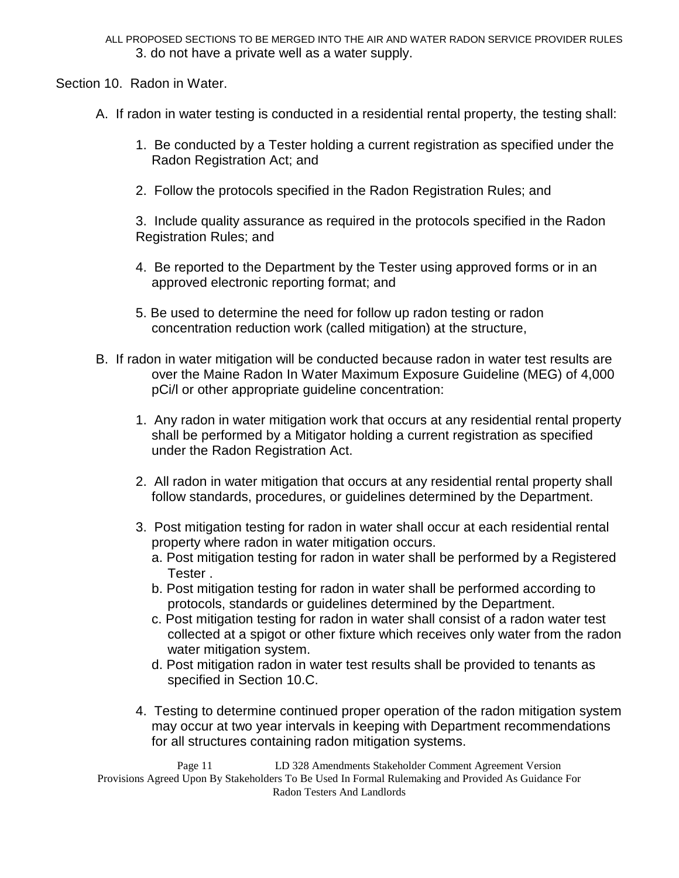ALL PROPOSED SECTIONS TO BE MERGED INTO THE AIR AND WATER RADON SERVICE PROVIDER RULES 3. do not have a private well as a water supply.

Section 10. Radon in Water.

- A. If radon in water testing is conducted in a residential rental property, the testing shall:
	- 1. Be conducted by a Tester holding a current registration as specified under the Radon Registration Act; and
	- 2. Follow the protocols specified in the Radon Registration Rules; and

3. Include quality assurance as required in the protocols specified in the Radon Registration Rules; and

- 4. Be reported to the Department by the Tester using approved forms or in an approved electronic reporting format; and
- 5. Be used to determine the need for follow up radon testing or radon concentration reduction work (called mitigation) at the structure,
- B. If radon in water mitigation will be conducted because radon in water test results are over the Maine Radon In Water Maximum Exposure Guideline (MEG) of 4,000 pCi/l or other appropriate guideline concentration:
	- 1. Any radon in water mitigation work that occurs at any residential rental property shall be performed by a Mitigator holding a current registration as specified under the Radon Registration Act.
	- 2. All radon in water mitigation that occurs at any residential rental property shall follow standards, procedures, or guidelines determined by the Department.
	- 3. Post mitigation testing for radon in water shall occur at each residential rental property where radon in water mitigation occurs.
		- a. Post mitigation testing for radon in water shall be performed by a Registered Tester .
		- b. Post mitigation testing for radon in water shall be performed according to protocols, standards or guidelines determined by the Department.
		- c. Post mitigation testing for radon in water shall consist of a radon water test collected at a spigot or other fixture which receives only water from the radon water mitigation system.
		- d. Post mitigation radon in water test results shall be provided to tenants as specified in Section 10.C.
	- 4. Testing to determine continued proper operation of the radon mitigation system may occur at two year intervals in keeping with Department recommendations for all structures containing radon mitigation systems.

Page 11 LD 328 Amendments Stakeholder Comment Agreement Version Provisions Agreed Upon By Stakeholders To Be Used In Formal Rulemaking and Provided As Guidance For Radon Testers And Landlords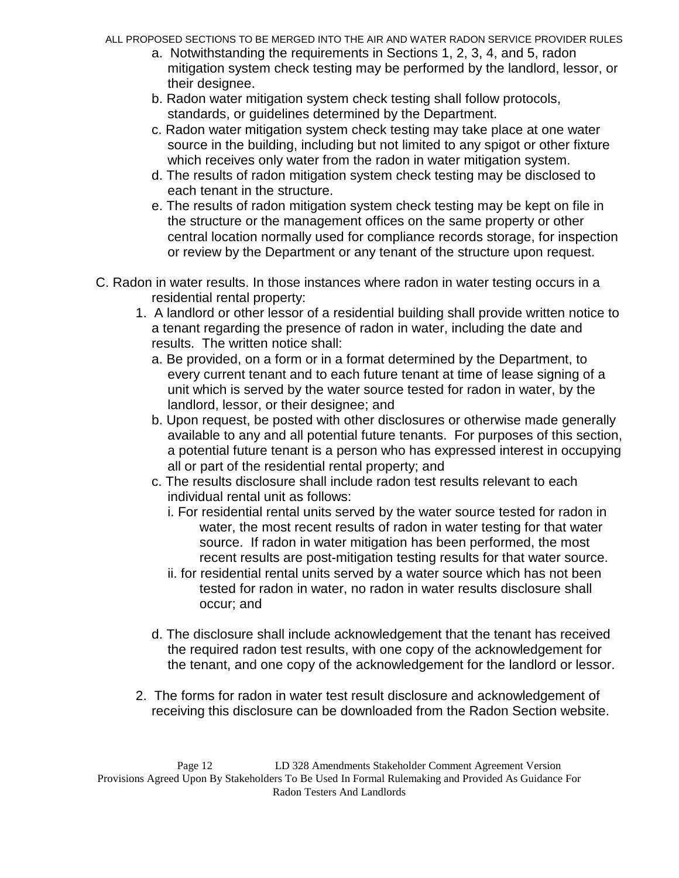- a. Notwithstanding the requirements in Sections 1, 2, 3, 4, and 5, radon mitigation system check testing may be performed by the landlord, lessor, or their designee.
- b. Radon water mitigation system check testing shall follow protocols, standards, or guidelines determined by the Department.
- c. Radon water mitigation system check testing may take place at one water source in the building, including but not limited to any spigot or other fixture which receives only water from the radon in water mitigation system.
- d. The results of radon mitigation system check testing may be disclosed to each tenant in the structure.
- e. The results of radon mitigation system check testing may be kept on file in the structure or the management offices on the same property or other central location normally used for compliance records storage, for inspection or review by the Department or any tenant of the structure upon request.
- C. Radon in water results. In those instances where radon in water testing occurs in a residential rental property:
	- 1. A landlord or other lessor of a residential building shall provide written notice to a tenant regarding the presence of radon in water, including the date and results. The written notice shall:
		- a. Be provided, on a form or in a format determined by the Department, to every current tenant and to each future tenant at time of lease signing of a unit which is served by the water source tested for radon in water, by the landlord, lessor, or their designee; and
		- b. Upon request, be posted with other disclosures or otherwise made generally available to any and all potential future tenants. For purposes of this section, a potential future tenant is a person who has expressed interest in occupying all or part of the residential rental property; and
		- c. The results disclosure shall include radon test results relevant to each individual rental unit as follows:
			- i. For residential rental units served by the water source tested for radon in water, the most recent results of radon in water testing for that water source. If radon in water mitigation has been performed, the most recent results are post-mitigation testing results for that water source.
			- ii. for residential rental units served by a water source which has not been tested for radon in water, no radon in water results disclosure shall occur; and
		- d. The disclosure shall include acknowledgement that the tenant has received the required radon test results, with one copy of the acknowledgement for the tenant, and one copy of the acknowledgement for the landlord or lessor.
	- 2. The forms for radon in water test result disclosure and acknowledgement of receiving this disclosure can be downloaded from the Radon Section website.